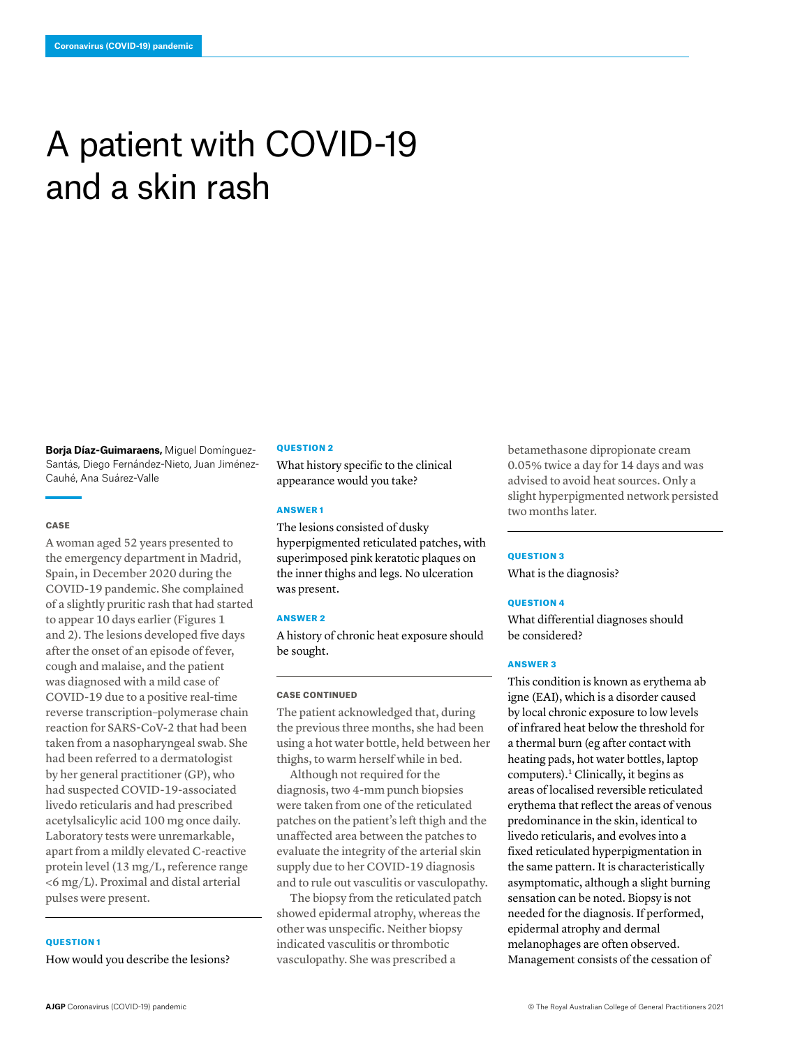# A patient with COVID-19 and a skin rash

**Borja Díaz-Guimaraens,** Miguel Domínguez-Santás, Diego Fernández-Nieto, Juan Jiménez-Cauhé, Ana Suárez-Valle

#### **CASE**

A woman aged 52 years presented to the emergency department in Madrid, Spain, in December 2020 during the COVID-19 pandemic. She complained of a slightly pruritic rash that had started to appear 10 days earlier (Figures 1 and 2). The lesions developed five days after the onset of an episode of fever, cough and malaise, and the patient was diagnosed with a mild case of COVID-19 due to a positive real-time reverse transcription–polymerase chain reaction for SARS-CoV-2 that had been taken from a nasopharyngeal swab. She had been referred to a dermatologist by her general practitioner (GP), who had suspected COVID-19-associated livedo reticularis and had prescribed acetylsalicylic acid 100 mg once daily. Laboratory tests were unremarkable, apart from a mildly elevated C-reactive protein level (13 mg/L, reference range <6 mg/L). Proximal and distal arterial pulses were present.

# QUESTION 1

How would you describe the lesions?

#### **OUESTION 2**

What history specific to the clinical appearance would you take?

# ANSWER 1

The lesions consisted of dusky hyperpigmented reticulated patches, with superimposed pink keratotic plaques on the inner thighs and legs. No ulceration was present.

#### ANSWER 2

A history of chronic heat exposure should be sought.

# CASE CONTINUED

The patient acknowledged that, during the previous three months, she had been using a hot water bottle, held between her thighs, to warm herself while in bed.

Although not required for the diagnosis, two 4-mm punch biopsies were taken from one of the reticulated patches on the patient's left thigh and the unaffected area between the patches to evaluate the integrity of the arterial skin supply due to her COVID-19 diagnosis and to rule out vasculitis or vasculopathy.

The biopsy from the reticulated patch showed epidermal atrophy, whereas the other was unspecific. Neither biopsy indicated vasculitis or thrombotic vasculopathy. She was prescribed a

betamethasone dipropionate cream 0.05% twice a day for 14 days and was advised to avoid heat sources. Only a slight hyperpigmented network persisted two months later.

#### QUESTION 3

What is the diagnosis?

#### QUESTION 4

What differential diagnoses should be considered?

## ANSWER 3

This condition is known as erythema ab igne (EAI), which is a disorder caused by local chronic exposure to low levels of infrared heat below the threshold for a thermal burn (eg after contact with heating pads, hot water bottles, laptop computers). $<sup>1</sup>$  Clinically, it begins as</sup> areas of localised reversible reticulated erythema that reflect the areas of venous predominance in the skin, identical to livedo reticularis, and evolves into a fixed reticulated hyperpigmentation in the same pattern. It is characteristically asymptomatic, although a slight burning sensation can be noted. Biopsy is not needed for the diagnosis. If performed, epidermal atrophy and dermal melanophages are often observed. Management consists of the cessation of